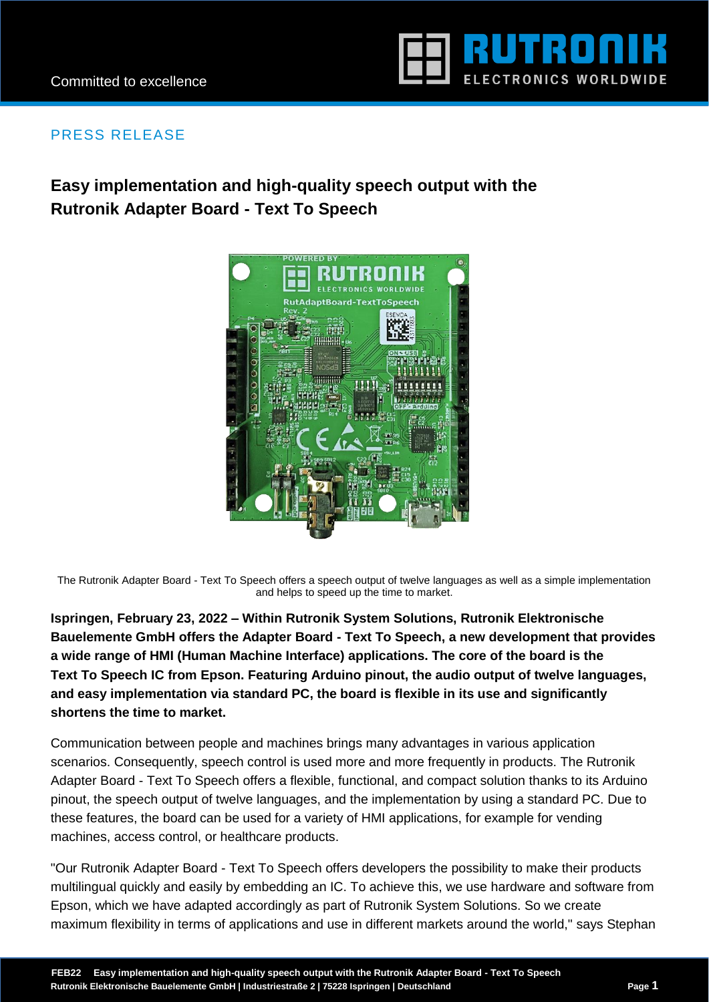

## PRESS RELEASE

# **Easy implementation and high-quality speech output with the Rutronik Adapter Board - Text To Speech**



The Rutronik Adapter Board - Text To Speech offers a speech output of twelve languages as well as a simple implementation and helps to speed up the time to market.

**Ispringen, February 23, 2022 – Within Rutronik System Solutions, Rutronik Elektronische Bauelemente GmbH offers the Adapter Board - Text To Speech, a new development that provides a wide range of HMI (Human Machine Interface) applications. The core of the board is the Text To Speech IC from Epson. Featuring Arduino pinout, the audio output of twelve languages, and easy implementation via standard PC, the board is flexible in its use and significantly shortens the time to market.**

Communication between people and machines brings many advantages in various application scenarios. Consequently, speech control is used more and more frequently in products. The Rutronik Adapter Board - Text To Speech offers a flexible, functional, and compact solution thanks to its Arduino pinout, the speech output of twelve languages, and the implementation by using a standard PC. Due to these features, the board can be used for a variety of HMI applications, for example for vending machines, access control, or healthcare products.

"Our Rutronik Adapter Board - Text To Speech offers developers the possibility to make their products multilingual quickly and easily by embedding an IC. To achieve this, we use hardware and software from Epson, which we have adapted accordingly as part of Rutronik System Solutions. So we create maximum flexibility in terms of applications and use in different markets around the world," says Stephan